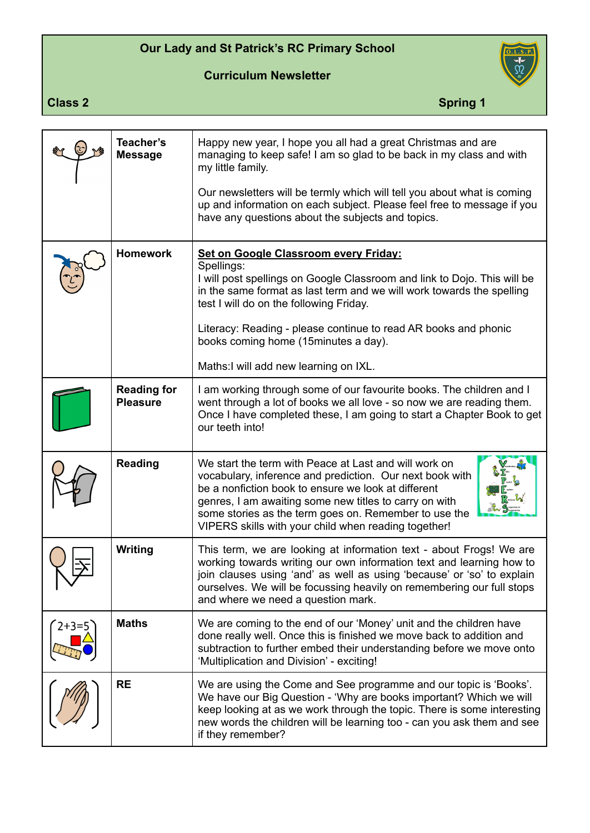## **Our Lady and St Patrick's RC Primary School**

**Curriculum Newsletter**



**Class 2** Spring 1

|         | Teacher's<br><b>Message</b>           | Happy new year, I hope you all had a great Christmas and are<br>managing to keep safe! I am so glad to be back in my class and with<br>my little family.<br>Our newsletters will be termly which will tell you about what is coming<br>up and information on each subject. Please feel free to message if you<br>have any questions about the subjects and topics. |
|---------|---------------------------------------|--------------------------------------------------------------------------------------------------------------------------------------------------------------------------------------------------------------------------------------------------------------------------------------------------------------------------------------------------------------------|
|         | <b>Homework</b>                       | Set on Google Classroom every Friday:<br>Spellings:<br>I will post spellings on Google Classroom and link to Dojo. This will be<br>in the same format as last term and we will work towards the spelling<br>test I will do on the following Friday.                                                                                                                |
|         |                                       | Literacy: Reading - please continue to read AR books and phonic<br>books coming home (15minutes a day).                                                                                                                                                                                                                                                            |
|         |                                       | Maths:I will add new learning on IXL.                                                                                                                                                                                                                                                                                                                              |
|         | <b>Reading for</b><br><b>Pleasure</b> | I am working through some of our favourite books. The children and I<br>went through a lot of books we all love - so now we are reading them.<br>Once I have completed these, I am going to start a Chapter Book to get<br>our teeth into!                                                                                                                         |
|         | <b>Reading</b>                        | We start the term with Peace at Last and will work on<br>vocabulary, inference and prediction. Our next book with<br>be a nonfiction book to ensure we look at different<br>genres, I am awaiting some new titles to carry on with<br>some stories as the term goes on. Remember to use the<br>VIPERS skills with your child when reading together!                |
|         | <b>Writing</b>                        | This term, we are looking at information text - about Frogs! We are<br>working towards writing our own information text and learning how to<br>join clauses using 'and' as well as using 'because' or 'so' to explain<br>ourselves. We will be focussing heavily on remembering our full stops<br>and where we need a question mark.                               |
| $2+3=5$ | <b>Maths</b>                          | We are coming to the end of our 'Money' unit and the children have<br>done really well. Once this is finished we move back to addition and<br>subtraction to further embed their understanding before we move onto<br>'Multiplication and Division' - exciting!                                                                                                    |
|         | <b>RE</b>                             | We are using the Come and See programme and our topic is 'Books'.<br>We have our Big Question - 'Why are books important? Which we will<br>keep looking at as we work through the topic. There is some interesting<br>new words the children will be learning too - can you ask them and see<br>if they remember?                                                  |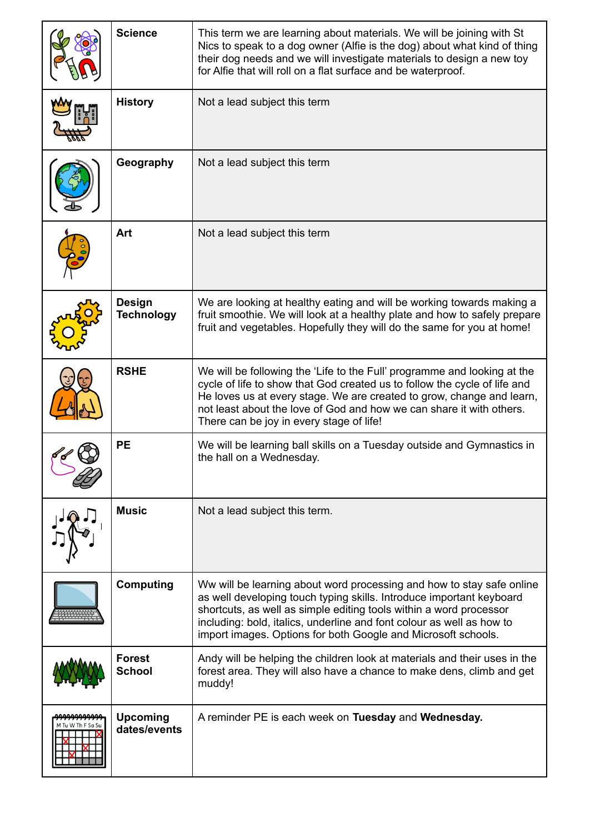|                | <b>Science</b>                     | This term we are learning about materials. We will be joining with St<br>Nics to speak to a dog owner (Alfie is the dog) about what kind of thing<br>their dog needs and we will investigate materials to design a new toy<br>for Alfie that will roll on a flat surface and be waterproof.                                                                   |
|----------------|------------------------------------|---------------------------------------------------------------------------------------------------------------------------------------------------------------------------------------------------------------------------------------------------------------------------------------------------------------------------------------------------------------|
|                | <b>History</b>                     | Not a lead subject this term                                                                                                                                                                                                                                                                                                                                  |
|                | Geography                          | Not a lead subject this term                                                                                                                                                                                                                                                                                                                                  |
|                | Art                                | Not a lead subject this term                                                                                                                                                                                                                                                                                                                                  |
|                | <b>Design</b><br><b>Technology</b> | We are looking at healthy eating and will be working towards making a<br>fruit smoothie. We will look at a healthy plate and how to safely prepare<br>fruit and vegetables. Hopefully they will do the same for you at home!                                                                                                                                  |
|                | <b>RSHE</b>                        | We will be following the 'Life to the Full' programme and looking at the<br>cycle of life to show that God created us to follow the cycle of life and<br>He loves us at every stage. We are created to grow, change and learn,<br>not least about the love of God and how we can share it with others.<br>There can be joy in every stage of life!            |
|                | <b>PE</b>                          | We will be learning ball skills on a Tuesday outside and Gymnastics in<br>the hall on a Wednesday.                                                                                                                                                                                                                                                            |
|                | <b>Music</b>                       | Not a lead subject this term.                                                                                                                                                                                                                                                                                                                                 |
|                | <b>Computing</b>                   | Ww will be learning about word processing and how to stay safe online<br>as well developing touch typing skills. Introduce important keyboard<br>shortcuts, as well as simple editing tools within a word processor<br>including: bold, italics, underline and font colour as well as how to<br>import images. Options for both Google and Microsoft schools. |
|                | <b>Forest</b><br><b>School</b>     | Andy will be helping the children look at materials and their uses in the<br>forest area. They will also have a chance to make dens, climb and get<br>muddy!                                                                                                                                                                                                  |
| Tu W Th F Sq S | <b>Upcoming</b><br>dates/events    | A reminder PE is each week on Tuesday and Wednesday.                                                                                                                                                                                                                                                                                                          |